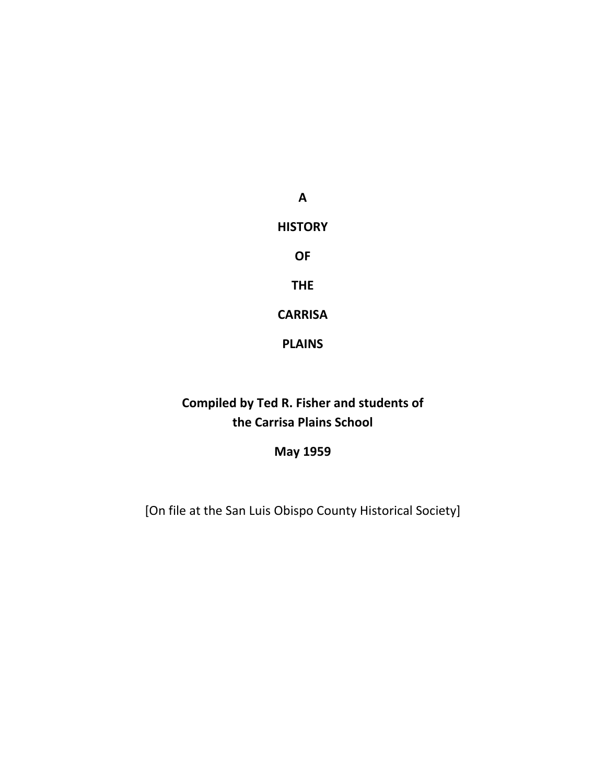**A HISTORY OF THE CARRISA** 

**PLAINS** 

**Compiled by Ted R. Fisher and students of the Carrisa Plains School** 

**May 1959** 

[On file at the San Luis Obispo County Historical Society]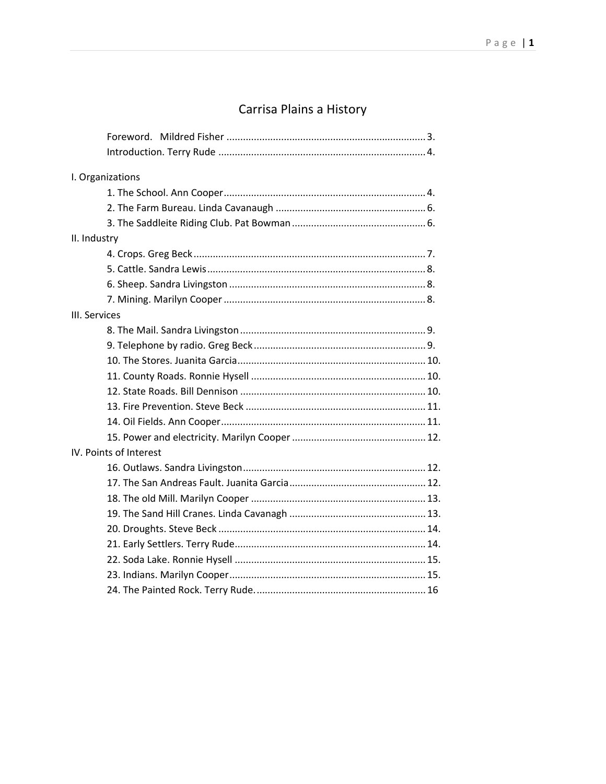# Carrisa Plains a History

| I. Organizations       |  |  |
|------------------------|--|--|
|                        |  |  |
|                        |  |  |
|                        |  |  |
| II. Industry           |  |  |
|                        |  |  |
|                        |  |  |
|                        |  |  |
|                        |  |  |
| III. Services          |  |  |
|                        |  |  |
|                        |  |  |
|                        |  |  |
|                        |  |  |
|                        |  |  |
|                        |  |  |
|                        |  |  |
|                        |  |  |
| IV. Points of Interest |  |  |
|                        |  |  |
|                        |  |  |
|                        |  |  |
|                        |  |  |
|                        |  |  |
|                        |  |  |
|                        |  |  |
|                        |  |  |
|                        |  |  |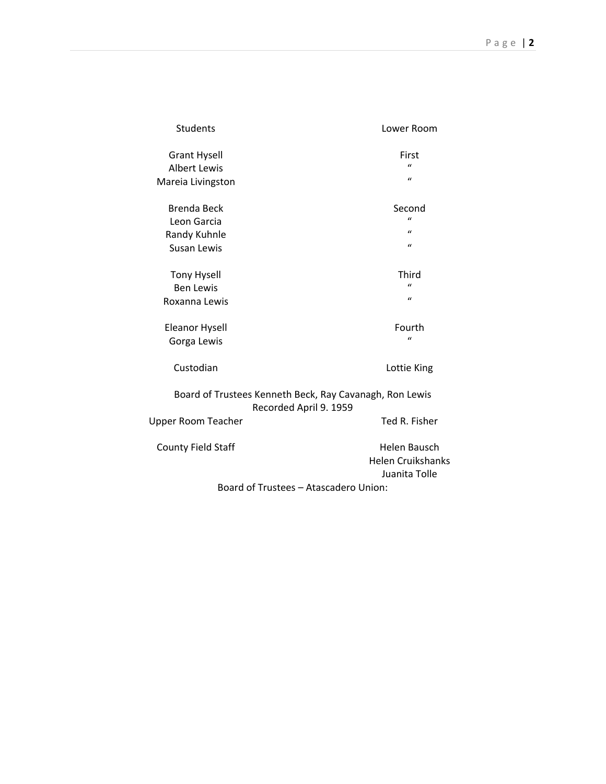| <b>Students</b>                                                                   | Lower Room               |
|-----------------------------------------------------------------------------------|--------------------------|
| <b>Grant Hysell</b>                                                               | First                    |
| <b>Albert Lewis</b>                                                               | $\mathbf{u}$             |
| Mareia Livingston                                                                 | $\mathbf{u}$             |
| Brenda Beck                                                                       | Second                   |
| Leon Garcia                                                                       | $\mathbf{u}$             |
| Randy Kuhnle                                                                      | $\mathbf{u}$             |
| Susan Lewis                                                                       | $\mathbf{u}$             |
|                                                                                   | Third                    |
| <b>Tony Hysell</b>                                                                | $\mathbf{u}$             |
| <b>Ben Lewis</b>                                                                  | $\mathbf{u}$             |
| Roxanna Lewis                                                                     |                          |
| <b>Eleanor Hysell</b>                                                             | Fourth                   |
| Gorga Lewis                                                                       | $\mathbf{u}$             |
| Custodian                                                                         | Lottie King              |
| Board of Trustees Kenneth Beck, Ray Cavanagh, Ron Lewis<br>Recorded April 9. 1959 |                          |
| <b>Upper Room Teacher</b>                                                         | Ted R. Fisher            |
| <b>County Field Staff</b>                                                         | Helen Bausch             |
|                                                                                   | <b>Helen Cruikshanks</b> |
|                                                                                   | Juanita Tolle            |
| Board of Trustees - Atascadero Union:                                             |                          |
|                                                                                   |                          |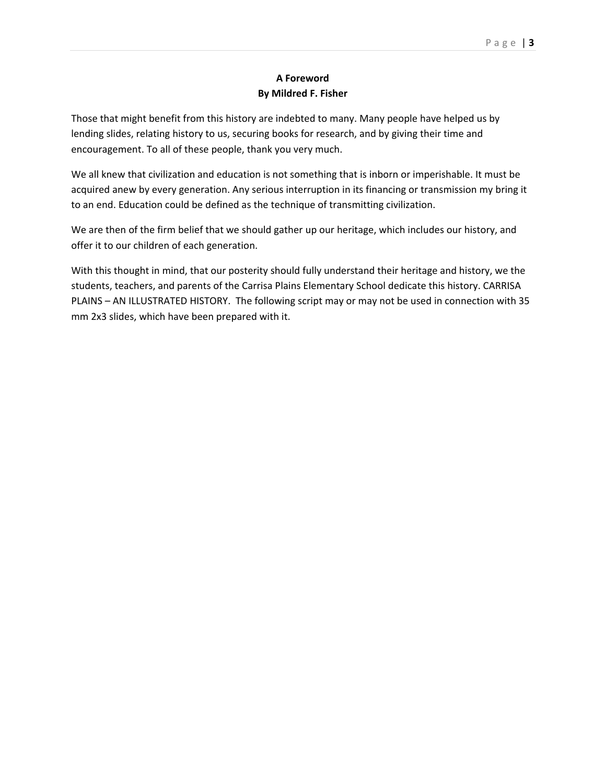# **A Foreword By Mildred F. Fisher**

Those that might benefit from this history are indebted to many. Many people have helped us by lending slides, relating history to us, securing books for research, and by giving their time and encouragement. To all of these people, thank you very much.

We all knew that civilization and education is not something that is inborn or imperishable. It must be acquired anew by every generation. Any serious interruption in its financing or transmission my bring it to an end. Education could be defined as the technique of transmitting civilization.

We are then of the firm belief that we should gather up our heritage, which includes our history, and offer it to our children of each generation.

With this thought in mind, that our posterity should fully understand their heritage and history, we the students, teachers, and parents of the Carrisa Plains Elementary School dedicate this history. CARRISA PLAINS – AN ILLUSTRATED HISTORY. The following script may or may not be used in connection with 35 mm 2x3 slides, which have been prepared with it.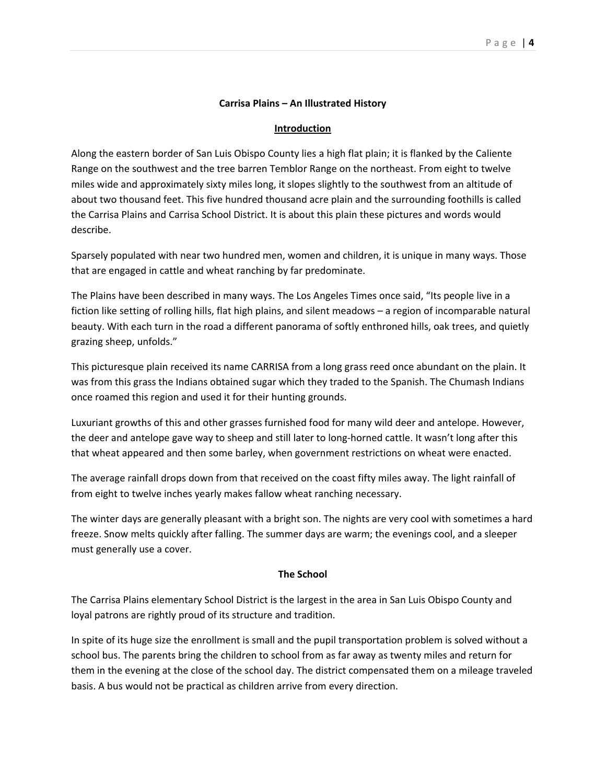## **Carrisa Plains – An Illustrated History**

#### **Introduction**

Along the eastern border of San Luis Obispo County lies a high flat plain; it is flanked by the Caliente Range on the southwest and the tree barren Temblor Range on the northeast. From eight to twelve miles wide and approximately sixty miles long, it slopes slightly to the southwest from an altitude of about two thousand feet. This five hundred thousand acre plain and the surrounding foothills is called the Carrisa Plains and Carrisa School District. It is about this plain these pictures and words would describe.

Sparsely populated with near two hundred men, women and children, it is unique in many ways. Those that are engaged in cattle and wheat ranching by far predominate.

The Plains have been described in many ways. The Los Angeles Times once said, "Its people live in a fiction like setting of rolling hills, flat high plains, and silent meadows – a region of incomparable natural beauty. With each turn in the road a different panorama of softly enthroned hills, oak trees, and quietly grazing sheep, unfolds."

This picturesque plain received its name CARRISA from a long grass reed once abundant on the plain. It was from this grass the Indians obtained sugar which they traded to the Spanish. The Chumash Indians once roamed this region and used it for their hunting grounds.

Luxuriant growths of this and other grasses furnished food for many wild deer and antelope. However, the deer and antelope gave way to sheep and still later to long-horned cattle. It wasn't long after this that wheat appeared and then some barley, when government restrictions on wheat were enacted.

The average rainfall drops down from that received on the coast fifty miles away. The light rainfall of from eight to twelve inches yearly makes fallow wheat ranching necessary.

The winter days are generally pleasant with a bright son. The nights are very cool with sometimes a hard freeze. Snow melts quickly after falling. The summer days are warm; the evenings cool, and a sleeper must generally use a cover.

#### **The School**

The Carrisa Plains elementary School District is the largest in the area in San Luis Obispo County and loyal patrons are rightly proud of its structure and tradition.

In spite of its huge size the enrollment is small and the pupil transportation problem is solved without a school bus. The parents bring the children to school from as far away as twenty miles and return for them in the evening at the close of the school day. The district compensated them on a mileage traveled basis. A bus would not be practical as children arrive from every direction.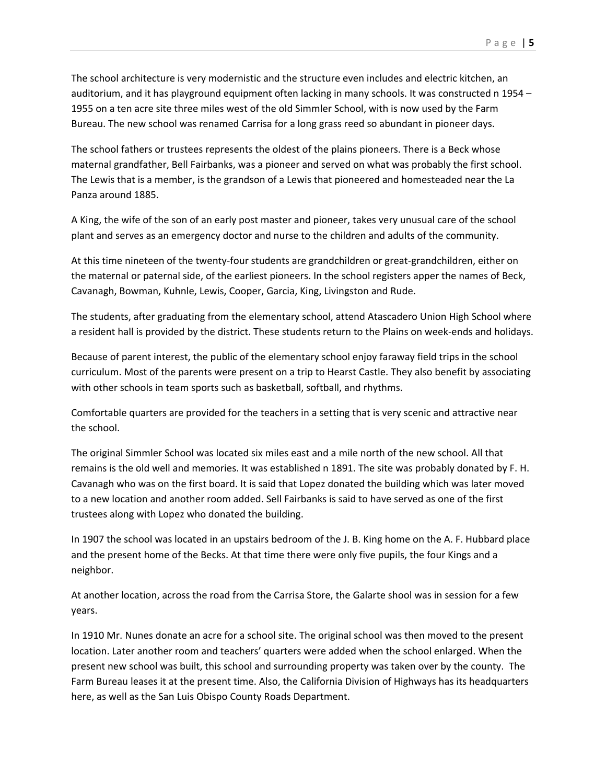The school architecture is very modernistic and the structure even includes and electric kitchen, an auditorium, and it has playground equipment often lacking in many schools. It was constructed n 1954 – 1955 on a ten acre site three miles west of the old Simmler School, with is now used by the Farm Bureau. The new school was renamed Carrisa for a long grass reed so abundant in pioneer days.

The school fathers or trustees represents the oldest of the plains pioneers. There is a Beck whose maternal grandfather, Bell Fairbanks, was a pioneer and served on what was probably the first school. The Lewis that is a member, is the grandson of a Lewis that pioneered and homesteaded near the La Panza around 1885.

A King, the wife of the son of an early post master and pioneer, takes very unusual care of the school plant and serves as an emergency doctor and nurse to the children and adults of the community.

At this time nineteen of the twenty-four students are grandchildren or great-grandchildren, either on the maternal or paternal side, of the earliest pioneers. In the school registers apper the names of Beck, Cavanagh, Bowman, Kuhnle, Lewis, Cooper, Garcia, King, Livingston and Rude.

The students, after graduating from the elementary school, attend Atascadero Union High School where a resident hall is provided by the district. These students return to the Plains on week-ends and holidays.

Because of parent interest, the public of the elementary school enjoy faraway field trips in the school curriculum. Most of the parents were present on a trip to Hearst Castle. They also benefit by associating with other schools in team sports such as basketball, softball, and rhythms.

Comfortable quarters are provided for the teachers in a setting that is very scenic and attractive near the school.

The original Simmler School was located six miles east and a mile north of the new school. All that remains is the old well and memories. It was established n 1891. The site was probably donated by F. H. Cavanagh who was on the first board. It is said that Lopez donated the building which was later moved to a new location and another room added. Sell Fairbanks is said to have served as one of the first trustees along with Lopez who donated the building.

In 1907 the school was located in an upstairs bedroom of the J. B. King home on the A. F. Hubbard place and the present home of the Becks. At that time there were only five pupils, the four Kings and a neighbor.

At another location, across the road from the Carrisa Store, the Galarte shool was in session for a few years.

In 1910 Mr. Nunes donate an acre for a school site. The original school was then moved to the present location. Later another room and teachers' quarters were added when the school enlarged. When the present new school was built, this school and surrounding property was taken over by the county. The Farm Bureau leases it at the present time. Also, the California Division of Highways has its headquarters here, as well as the San Luis Obispo County Roads Department.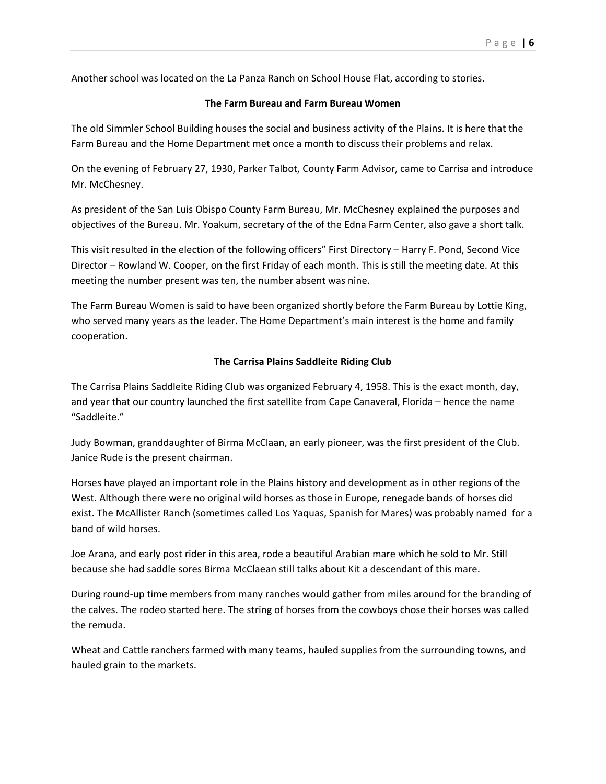Another school was located on the La Panza Ranch on School House Flat, according to stories.

## **The Farm Bureau and Farm Bureau Women**

The old Simmler School Building houses the social and business activity of the Plains. It is here that the Farm Bureau and the Home Department met once a month to discuss their problems and relax.

On the evening of February 27, 1930, Parker Talbot, County Farm Advisor, came to Carrisa and introduce Mr. McChesney.

As president of the San Luis Obispo County Farm Bureau, Mr. McChesney explained the purposes and objectives of the Bureau. Mr. Yoakum, secretary of the of the Edna Farm Center, also gave a short talk.

This visit resulted in the election of the following officers" First Directory – Harry F. Pond, Second Vice Director – Rowland W. Cooper, on the first Friday of each month. This is still the meeting date. At this meeting the number present was ten, the number absent was nine.

The Farm Bureau Women is said to have been organized shortly before the Farm Bureau by Lottie King, who served many years as the leader. The Home Department's main interest is the home and family cooperation.

## **The Carrisa Plains Saddleite Riding Club**

The Carrisa Plains Saddleite Riding Club was organized February 4, 1958. This is the exact month, day, and year that our country launched the first satellite from Cape Canaveral, Florida – hence the name "Saddleite."

Judy Bowman, granddaughter of Birma McClaan, an early pioneer, was the first president of the Club. Janice Rude is the present chairman.

Horses have played an important role in the Plains history and development as in other regions of the West. Although there were no original wild horses as those in Europe, renegade bands of horses did exist. The McAllister Ranch (sometimes called Los Yaquas, Spanish for Mares) was probably named for a band of wild horses.

Joe Arana, and early post rider in this area, rode a beautiful Arabian mare which he sold to Mr. Still because she had saddle sores Birma McClaean still talks about Kit a descendant of this mare.

During round-up time members from many ranches would gather from miles around for the branding of the calves. The rodeo started here. The string of horses from the cowboys chose their horses was called the remuda.

Wheat and Cattle ranchers farmed with many teams, hauled supplies from the surrounding towns, and hauled grain to the markets.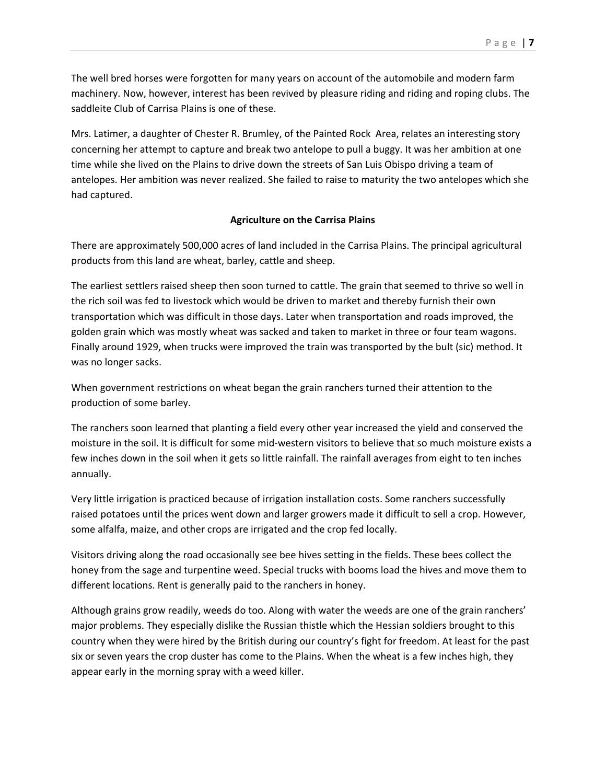The well bred horses were forgotten for many years on account of the automobile and modern farm machinery. Now, however, interest has been revived by pleasure riding and riding and roping clubs. The saddleite Club of Carrisa Plains is one of these.

Mrs. Latimer, a daughter of Chester R. Brumley, of the Painted Rock Area, relates an interesting story concerning her attempt to capture and break two antelope to pull a buggy. It was her ambition at one time while she lived on the Plains to drive down the streets of San Luis Obispo driving a team of antelopes. Her ambition was never realized. She failed to raise to maturity the two antelopes which she had captured.

# **Agriculture on the Carrisa Plains**

There are approximately 500,000 acres of land included in the Carrisa Plains. The principal agricultural products from this land are wheat, barley, cattle and sheep.

The earliest settlers raised sheep then soon turned to cattle. The grain that seemed to thrive so well in the rich soil was fed to livestock which would be driven to market and thereby furnish their own transportation which was difficult in those days. Later when transportation and roads improved, the golden grain which was mostly wheat was sacked and taken to market in three or four team wagons. Finally around 1929, when trucks were improved the train was transported by the bult (sic) method. It was no longer sacks.

When government restrictions on wheat began the grain ranchers turned their attention to the production of some barley.

The ranchers soon learned that planting a field every other year increased the yield and conserved the moisture in the soil. It is difficult for some mid-western visitors to believe that so much moisture exists a few inches down in the soil when it gets so little rainfall. The rainfall averages from eight to ten inches annually.

Very little irrigation is practiced because of irrigation installation costs. Some ranchers successfully raised potatoes until the prices went down and larger growers made it difficult to sell a crop. However, some alfalfa, maize, and other crops are irrigated and the crop fed locally.

Visitors driving along the road occasionally see bee hives setting in the fields. These bees collect the honey from the sage and turpentine weed. Special trucks with booms load the hives and move them to different locations. Rent is generally paid to the ranchers in honey.

Although grains grow readily, weeds do too. Along with water the weeds are one of the grain ranchers' major problems. They especially dislike the Russian thistle which the Hessian soldiers brought to this country when they were hired by the British during our country's fight for freedom. At least for the past six or seven years the crop duster has come to the Plains. When the wheat is a few inches high, they appear early in the morning spray with a weed killer.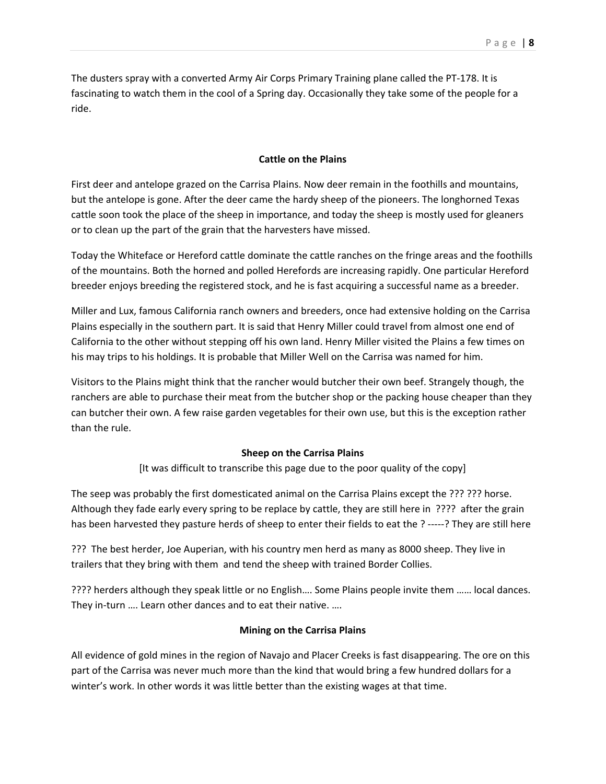The dusters spray with a converted Army Air Corps Primary Training plane called the PT-178. It is fascinating to watch them in the cool of a Spring day. Occasionally they take some of the people for a ride.

## **Cattle on the Plains**

First deer and antelope grazed on the Carrisa Plains. Now deer remain in the foothills and mountains, but the antelope is gone. After the deer came the hardy sheep of the pioneers. The longhorned Texas cattle soon took the place of the sheep in importance, and today the sheep is mostly used for gleaners or to clean up the part of the grain that the harvesters have missed.

Today the Whiteface or Hereford cattle dominate the cattle ranches on the fringe areas and the foothills of the mountains. Both the horned and polled Herefords are increasing rapidly. One particular Hereford breeder enjoys breeding the registered stock, and he is fast acquiring a successful name as a breeder.

Miller and Lux, famous California ranch owners and breeders, once had extensive holding on the Carrisa Plains especially in the southern part. It is said that Henry Miller could travel from almost one end of California to the other without stepping off his own land. Henry Miller visited the Plains a few times on his may trips to his holdings. It is probable that Miller Well on the Carrisa was named for him.

Visitors to the Plains might think that the rancher would butcher their own beef. Strangely though, the ranchers are able to purchase their meat from the butcher shop or the packing house cheaper than they can butcher their own. A few raise garden vegetables for their own use, but this is the exception rather than the rule.

#### **Sheep on the Carrisa Plains**

[It was difficult to transcribe this page due to the poor quality of the copy]

The seep was probably the first domesticated animal on the Carrisa Plains except the ??? ??? horse. Although they fade early every spring to be replace by cattle, they are still here in ???? after the grain has been harvested they pasture herds of sheep to enter their fields to eat the ? -----? They are still here

??? The best herder, Joe Auperian, with his country men herd as many as 8000 sheep. They live in trailers that they bring with them and tend the sheep with trained Border Collies.

???? herders although they speak little or no English…. Some Plains people invite them …… local dances. They in-turn …. Learn other dances and to eat their native. ….

### **Mining on the Carrisa Plains**

All evidence of gold mines in the region of Navajo and Placer Creeks is fast disappearing. The ore on this part of the Carrisa was never much more than the kind that would bring a few hundred dollars for a winter's work. In other words it was little better than the existing wages at that time.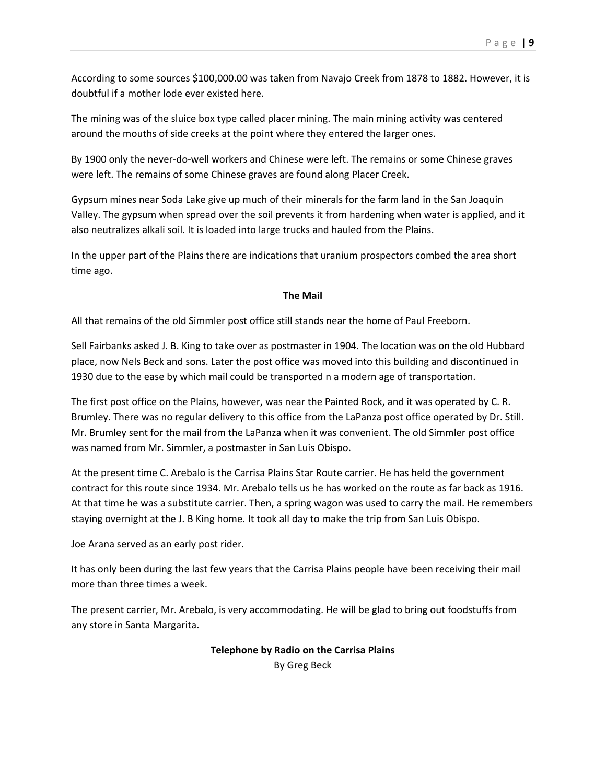According to some sources \$100,000.00 was taken from Navajo Creek from 1878 to 1882. However, it is doubtful if a mother lode ever existed here.

The mining was of the sluice box type called placer mining. The main mining activity was centered around the mouths of side creeks at the point where they entered the larger ones.

By 1900 only the never-do-well workers and Chinese were left. The remains or some Chinese graves were left. The remains of some Chinese graves are found along Placer Creek.

Gypsum mines near Soda Lake give up much of their minerals for the farm land in the San Joaquin Valley. The gypsum when spread over the soil prevents it from hardening when water is applied, and it also neutralizes alkali soil. It is loaded into large trucks and hauled from the Plains.

In the upper part of the Plains there are indications that uranium prospectors combed the area short time ago.

## **The Mail**

All that remains of the old Simmler post office still stands near the home of Paul Freeborn.

Sell Fairbanks asked J. B. King to take over as postmaster in 1904. The location was on the old Hubbard place, now Nels Beck and sons. Later the post office was moved into this building and discontinued in 1930 due to the ease by which mail could be transported n a modern age of transportation.

The first post office on the Plains, however, was near the Painted Rock, and it was operated by C. R. Brumley. There was no regular delivery to this office from the LaPanza post office operated by Dr. Still. Mr. Brumley sent for the mail from the LaPanza when it was convenient. The old Simmler post office was named from Mr. Simmler, a postmaster in San Luis Obispo.

At the present time C. Arebalo is the Carrisa Plains Star Route carrier. He has held the government contract for this route since 1934. Mr. Arebalo tells us he has worked on the route as far back as 1916. At that time he was a substitute carrier. Then, a spring wagon was used to carry the mail. He remembers staying overnight at the J. B King home. It took all day to make the trip from San Luis Obispo.

Joe Arana served as an early post rider.

It has only been during the last few years that the Carrisa Plains people have been receiving their mail more than three times a week.

The present carrier, Mr. Arebalo, is very accommodating. He will be glad to bring out foodstuffs from any store in Santa Margarita.

# **Telephone by Radio on the Carrisa Plains**

By Greg Beck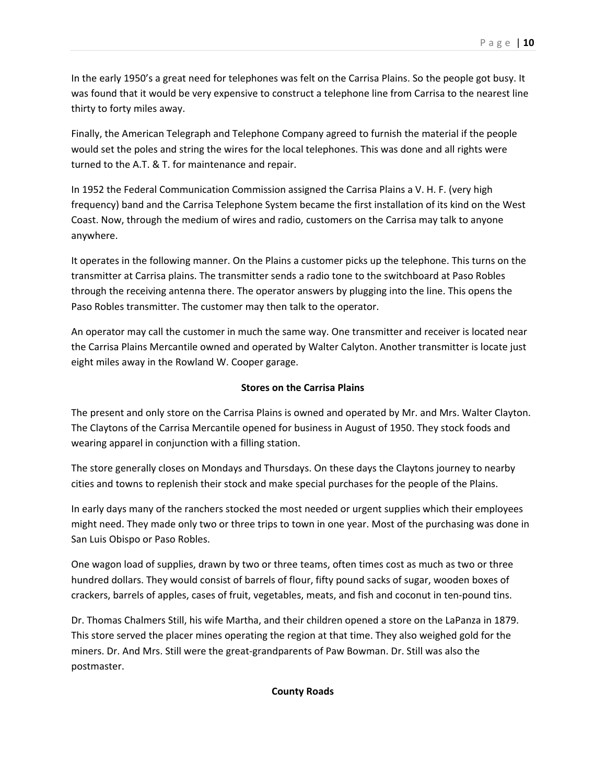In the early 1950's a great need for telephones was felt on the Carrisa Plains. So the people got busy. It was found that it would be very expensive to construct a telephone line from Carrisa to the nearest line thirty to forty miles away.

Finally, the American Telegraph and Telephone Company agreed to furnish the material if the people would set the poles and string the wires for the local telephones. This was done and all rights were turned to the A.T. & T. for maintenance and repair.

In 1952 the Federal Communication Commission assigned the Carrisa Plains a V. H. F. (very high frequency) band and the Carrisa Telephone System became the first installation of its kind on the West Coast. Now, through the medium of wires and radio, customers on the Carrisa may talk to anyone anywhere.

It operates in the following manner. On the Plains a customer picks up the telephone. This turns on the transmitter at Carrisa plains. The transmitter sends a radio tone to the switchboard at Paso Robles through the receiving antenna there. The operator answers by plugging into the line. This opens the Paso Robles transmitter. The customer may then talk to the operator.

An operator may call the customer in much the same way. One transmitter and receiver is located near the Carrisa Plains Mercantile owned and operated by Walter Calyton. Another transmitter is locate just eight miles away in the Rowland W. Cooper garage.

## **Stores on the Carrisa Plains**

The present and only store on the Carrisa Plains is owned and operated by Mr. and Mrs. Walter Clayton. The Claytons of the Carrisa Mercantile opened for business in August of 1950. They stock foods and wearing apparel in conjunction with a filling station.

The store generally closes on Mondays and Thursdays. On these days the Claytons journey to nearby cities and towns to replenish their stock and make special purchases for the people of the Plains.

In early days many of the ranchers stocked the most needed or urgent supplies which their employees might need. They made only two or three trips to town in one year. Most of the purchasing was done in San Luis Obispo or Paso Robles.

One wagon load of supplies, drawn by two or three teams, often times cost as much as two or three hundred dollars. They would consist of barrels of flour, fifty pound sacks of sugar, wooden boxes of crackers, barrels of apples, cases of fruit, vegetables, meats, and fish and coconut in ten-pound tins.

Dr. Thomas Chalmers Still, his wife Martha, and their children opened a store on the LaPanza in 1879. This store served the placer mines operating the region at that time. They also weighed gold for the miners. Dr. And Mrs. Still were the great-grandparents of Paw Bowman. Dr. Still was also the postmaster.

#### **County Roads**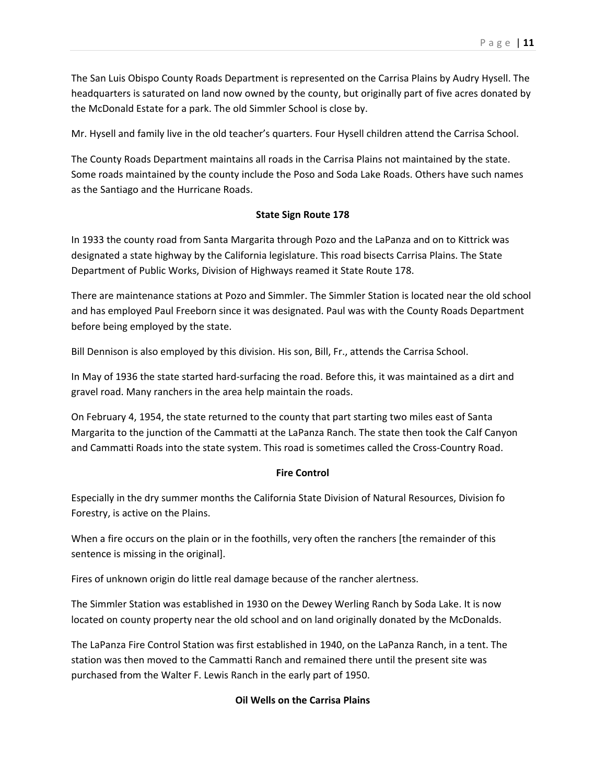The San Luis Obispo County Roads Department is represented on the Carrisa Plains by Audry Hysell. The headquarters is saturated on land now owned by the county, but originally part of five acres donated by the McDonald Estate for a park. The old Simmler School is close by.

Mr. Hysell and family live in the old teacher's quarters. Four Hysell children attend the Carrisa School.

The County Roads Department maintains all roads in the Carrisa Plains not maintained by the state. Some roads maintained by the county include the Poso and Soda Lake Roads. Others have such names as the Santiago and the Hurricane Roads.

## **State Sign Route 178**

In 1933 the county road from Santa Margarita through Pozo and the LaPanza and on to Kittrick was designated a state highway by the California legislature. This road bisects Carrisa Plains. The State Department of Public Works, Division of Highways reamed it State Route 178.

There are maintenance stations at Pozo and Simmler. The Simmler Station is located near the old school and has employed Paul Freeborn since it was designated. Paul was with the County Roads Department before being employed by the state.

Bill Dennison is also employed by this division. His son, Bill, Fr., attends the Carrisa School.

In May of 1936 the state started hard-surfacing the road. Before this, it was maintained as a dirt and gravel road. Many ranchers in the area help maintain the roads.

On February 4, 1954, the state returned to the county that part starting two miles east of Santa Margarita to the junction of the Cammatti at the LaPanza Ranch. The state then took the Calf Canyon and Cammatti Roads into the state system. This road is sometimes called the Cross-Country Road.

## **Fire Control**

Especially in the dry summer months the California State Division of Natural Resources, Division fo Forestry, is active on the Plains.

When a fire occurs on the plain or in the foothills, very often the ranchers [the remainder of this sentence is missing in the original].

Fires of unknown origin do little real damage because of the rancher alertness.

The Simmler Station was established in 1930 on the Dewey Werling Ranch by Soda Lake. It is now located on county property near the old school and on land originally donated by the McDonalds.

The LaPanza Fire Control Station was first established in 1940, on the LaPanza Ranch, in a tent. The station was then moved to the Cammatti Ranch and remained there until the present site was purchased from the Walter F. Lewis Ranch in the early part of 1950.

## **Oil Wells on the Carrisa Plains**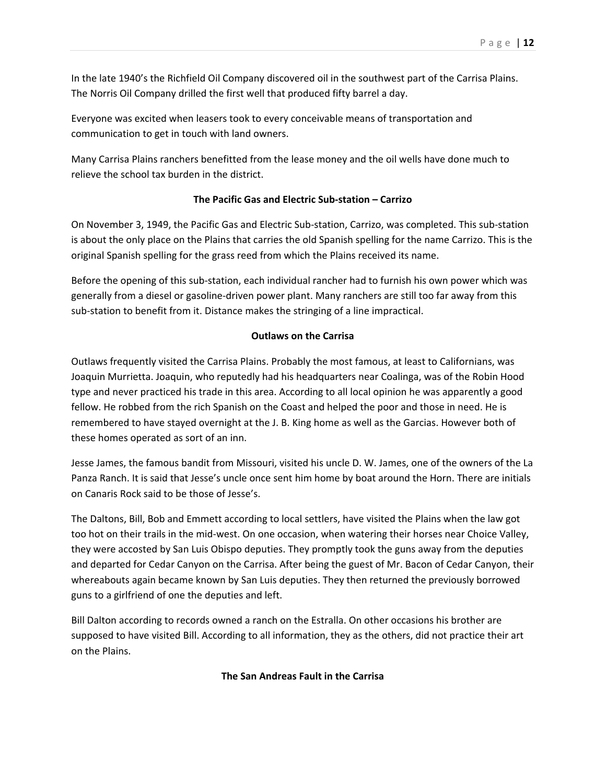In the late 1940's the Richfield Oil Company discovered oil in the southwest part of the Carrisa Plains. The Norris Oil Company drilled the first well that produced fifty barrel a day.

Everyone was excited when leasers took to every conceivable means of transportation and communication to get in touch with land owners.

Many Carrisa Plains ranchers benefitted from the lease money and the oil wells have done much to relieve the school tax burden in the district.

### **The Pacific Gas and Electric Sub-station – Carrizo**

On November 3, 1949, the Pacific Gas and Electric Sub-station, Carrizo, was completed. This sub-station is about the only place on the Plains that carries the old Spanish spelling for the name Carrizo. This is the original Spanish spelling for the grass reed from which the Plains received its name.

Before the opening of this sub-station, each individual rancher had to furnish his own power which was generally from a diesel or gasoline-driven power plant. Many ranchers are still too far away from this sub-station to benefit from it. Distance makes the stringing of a line impractical.

#### **Outlaws on the Carrisa**

Outlaws frequently visited the Carrisa Plains. Probably the most famous, at least to Californians, was Joaquin Murrietta. Joaquin, who reputedly had his headquarters near Coalinga, was of the Robin Hood type and never practiced his trade in this area. According to all local opinion he was apparently a good fellow. He robbed from the rich Spanish on the Coast and helped the poor and those in need. He is remembered to have stayed overnight at the J. B. King home as well as the Garcias. However both of these homes operated as sort of an inn.

Jesse James, the famous bandit from Missouri, visited his uncle D. W. James, one of the owners of the La Panza Ranch. It is said that Jesse's uncle once sent him home by boat around the Horn. There are initials on Canaris Rock said to be those of Jesse's.

The Daltons, Bill, Bob and Emmett according to local settlers, have visited the Plains when the law got too hot on their trails in the mid-west. On one occasion, when watering their horses near Choice Valley, they were accosted by San Luis Obispo deputies. They promptly took the guns away from the deputies and departed for Cedar Canyon on the Carrisa. After being the guest of Mr. Bacon of Cedar Canyon, their whereabouts again became known by San Luis deputies. They then returned the previously borrowed guns to a girlfriend of one the deputies and left.

Bill Dalton according to records owned a ranch on the Estralla. On other occasions his brother are supposed to have visited Bill. According to all information, they as the others, did not practice their art on the Plains.

## **The San Andreas Fault in the Carrisa**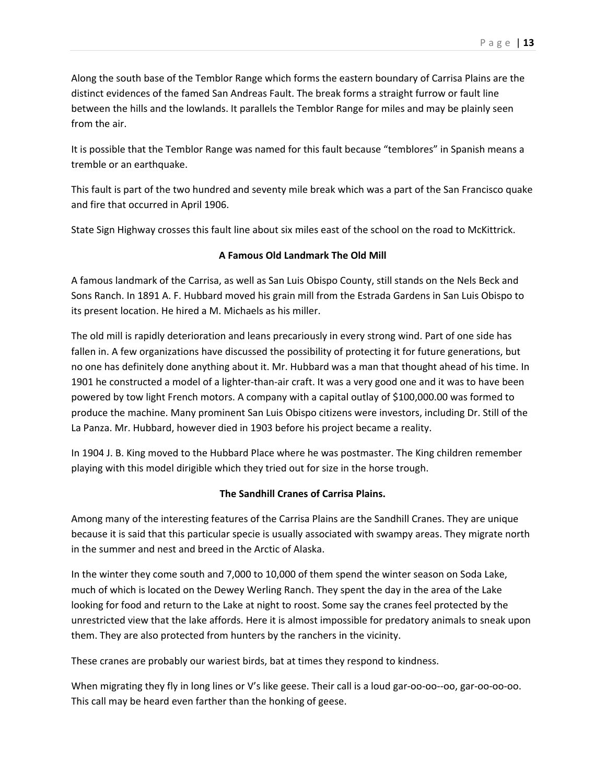Along the south base of the Temblor Range which forms the eastern boundary of Carrisa Plains are the distinct evidences of the famed San Andreas Fault. The break forms a straight furrow or fault line between the hills and the lowlands. It parallels the Temblor Range for miles and may be plainly seen from the air.

It is possible that the Temblor Range was named for this fault because "temblores" in Spanish means a tremble or an earthquake.

This fault is part of the two hundred and seventy mile break which was a part of the San Francisco quake and fire that occurred in April 1906.

State Sign Highway crosses this fault line about six miles east of the school on the road to McKittrick.

## **A Famous Old Landmark The Old Mill**

A famous landmark of the Carrisa, as well as San Luis Obispo County, still stands on the Nels Beck and Sons Ranch. In 1891 A. F. Hubbard moved his grain mill from the Estrada Gardens in San Luis Obispo to its present location. He hired a M. Michaels as his miller.

The old mill is rapidly deterioration and leans precariously in every strong wind. Part of one side has fallen in. A few organizations have discussed the possibility of protecting it for future generations, but no one has definitely done anything about it. Mr. Hubbard was a man that thought ahead of his time. In 1901 he constructed a model of a lighter-than-air craft. It was a very good one and it was to have been powered by tow light French motors. A company with a capital outlay of \$100,000.00 was formed to produce the machine. Many prominent San Luis Obispo citizens were investors, including Dr. Still of the La Panza. Mr. Hubbard, however died in 1903 before his project became a reality.

In 1904 J. B. King moved to the Hubbard Place where he was postmaster. The King children remember playing with this model dirigible which they tried out for size in the horse trough.

## **The Sandhill Cranes of Carrisa Plains.**

Among many of the interesting features of the Carrisa Plains are the Sandhill Cranes. They are unique because it is said that this particular specie is usually associated with swampy areas. They migrate north in the summer and nest and breed in the Arctic of Alaska.

In the winter they come south and 7,000 to 10,000 of them spend the winter season on Soda Lake, much of which is located on the Dewey Werling Ranch. They spent the day in the area of the Lake looking for food and return to the Lake at night to roost. Some say the cranes feel protected by the unrestricted view that the lake affords. Here it is almost impossible for predatory animals to sneak upon them. They are also protected from hunters by the ranchers in the vicinity.

These cranes are probably our wariest birds, bat at times they respond to kindness.

When migrating they fly in long lines or V's like geese. Their call is a loud gar-oo-oo--oo, gar-oo-oo-oo. This call may be heard even farther than the honking of geese.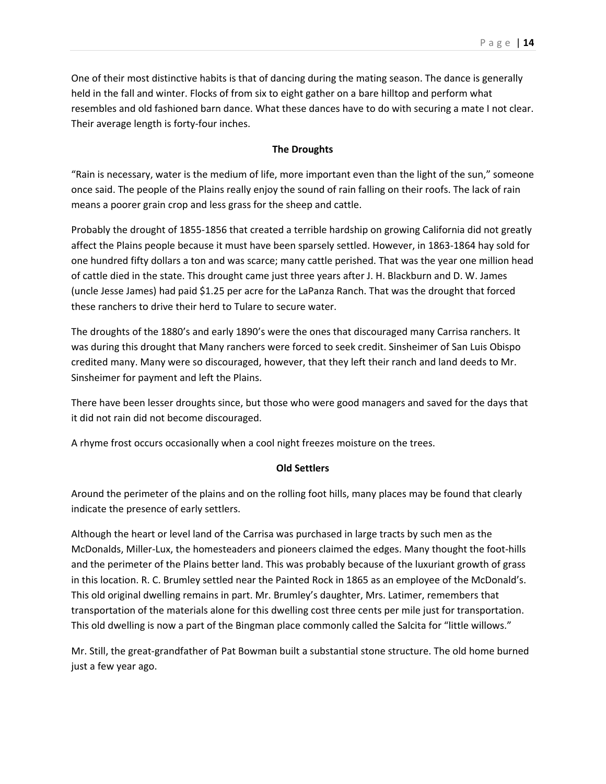One of their most distinctive habits is that of dancing during the mating season. The dance is generally held in the fall and winter. Flocks of from six to eight gather on a bare hilltop and perform what resembles and old fashioned barn dance. What these dances have to do with securing a mate I not clear. Their average length is forty-four inches.

#### **The Droughts**

"Rain is necessary, water is the medium of life, more important even than the light of the sun," someone once said. The people of the Plains really enjoy the sound of rain falling on their roofs. The lack of rain means a poorer grain crop and less grass for the sheep and cattle.

Probably the drought of 1855-1856 that created a terrible hardship on growing California did not greatly affect the Plains people because it must have been sparsely settled. However, in 1863-1864 hay sold for one hundred fifty dollars a ton and was scarce; many cattle perished. That was the year one million head of cattle died in the state. This drought came just three years after J. H. Blackburn and D. W. James (uncle Jesse James) had paid \$1.25 per acre for the LaPanza Ranch. That was the drought that forced these ranchers to drive their herd to Tulare to secure water.

The droughts of the 1880's and early 1890's were the ones that discouraged many Carrisa ranchers. It was during this drought that Many ranchers were forced to seek credit. Sinsheimer of San Luis Obispo credited many. Many were so discouraged, however, that they left their ranch and land deeds to Mr. Sinsheimer for payment and left the Plains.

There have been lesser droughts since, but those who were good managers and saved for the days that it did not rain did not become discouraged.

A rhyme frost occurs occasionally when a cool night freezes moisture on the trees.

#### **Old Settlers**

Around the perimeter of the plains and on the rolling foot hills, many places may be found that clearly indicate the presence of early settlers.

Although the heart or level land of the Carrisa was purchased in large tracts by such men as the McDonalds, Miller-Lux, the homesteaders and pioneers claimed the edges. Many thought the foot-hills and the perimeter of the Plains better land. This was probably because of the luxuriant growth of grass in this location. R. C. Brumley settled near the Painted Rock in 1865 as an employee of the McDonald's. This old original dwelling remains in part. Mr. Brumley's daughter, Mrs. Latimer, remembers that transportation of the materials alone for this dwelling cost three cents per mile just for transportation. This old dwelling is now a part of the Bingman place commonly called the Salcita for "little willows."

Mr. Still, the great-grandfather of Pat Bowman built a substantial stone structure. The old home burned just a few year ago.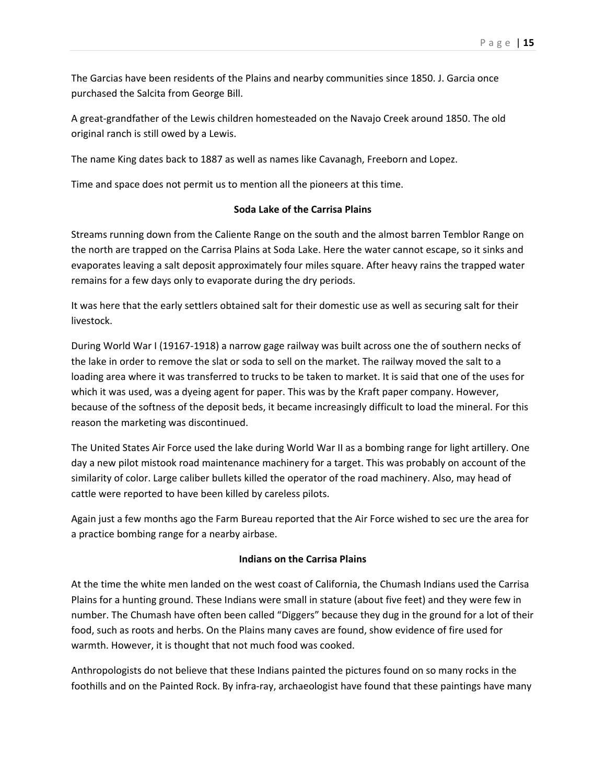The Garcias have been residents of the Plains and nearby communities since 1850. J. Garcia once purchased the Salcita from George Bill.

A great-grandfather of the Lewis children homesteaded on the Navajo Creek around 1850. The old original ranch is still owed by a Lewis.

The name King dates back to 1887 as well as names like Cavanagh, Freeborn and Lopez.

Time and space does not permit us to mention all the pioneers at this time.

#### **Soda Lake of the Carrisa Plains**

Streams running down from the Caliente Range on the south and the almost barren Temblor Range on the north are trapped on the Carrisa Plains at Soda Lake. Here the water cannot escape, so it sinks and evaporates leaving a salt deposit approximately four miles square. After heavy rains the trapped water remains for a few days only to evaporate during the dry periods.

It was here that the early settlers obtained salt for their domestic use as well as securing salt for their livestock.

During World War I (19167-1918) a narrow gage railway was built across one the of southern necks of the lake in order to remove the slat or soda to sell on the market. The railway moved the salt to a loading area where it was transferred to trucks to be taken to market. It is said that one of the uses for which it was used, was a dyeing agent for paper. This was by the Kraft paper company. However, because of the softness of the deposit beds, it became increasingly difficult to load the mineral. For this reason the marketing was discontinued.

The United States Air Force used the lake during World War II as a bombing range for light artillery. One day a new pilot mistook road maintenance machinery for a target. This was probably on account of the similarity of color. Large caliber bullets killed the operator of the road machinery. Also, may head of cattle were reported to have been killed by careless pilots.

Again just a few months ago the Farm Bureau reported that the Air Force wished to sec ure the area for a practice bombing range for a nearby airbase.

#### **Indians on the Carrisa Plains**

At the time the white men landed on the west coast of California, the Chumash Indians used the Carrisa Plains for a hunting ground. These Indians were small in stature (about five feet) and they were few in number. The Chumash have often been called "Diggers" because they dug in the ground for a lot of their food, such as roots and herbs. On the Plains many caves are found, show evidence of fire used for warmth. However, it is thought that not much food was cooked.

Anthropologists do not believe that these Indians painted the pictures found on so many rocks in the foothills and on the Painted Rock. By infra-ray, archaeologist have found that these paintings have many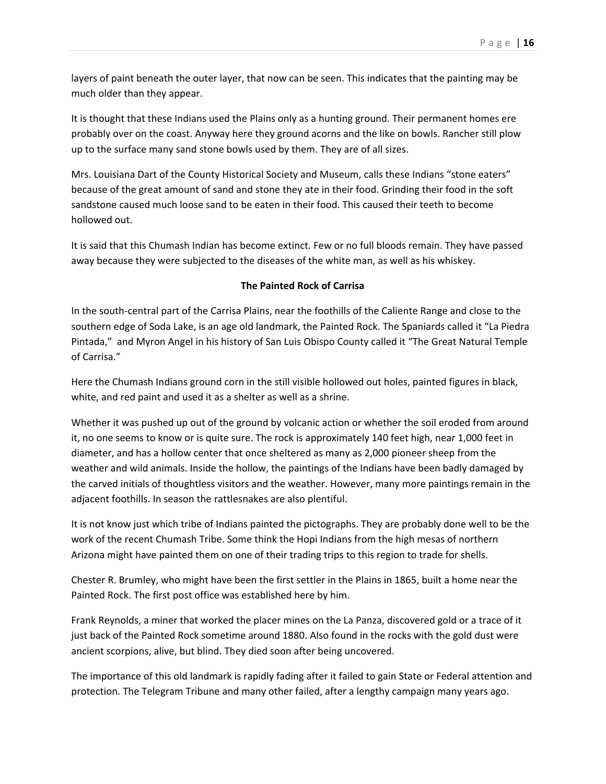layers of paint beneath the outer layer, that now can be seen. This indicates that the painting may be much older than they appear.

It is thought that these Indians used the Plains only as a hunting ground. Their permanent homes ere probably over on the coast. Anyway here they ground acorns and the like on bowls. Rancher still plow up to the surface many sand stone bowls used by them. They are of all sizes.

Mrs. Louisiana Dart of the County Historical Society and Museum, calls these Indians "stone eaters" because of the great amount of sand and stone they ate in their food. Grinding their food in the soft sandstone caused much loose sand to be eaten in their food. This caused their teeth to become hollowed out.

It is said that this Chumash Indian has become extinct. Few or no full bloods remain. They have passed away because they were subjected to the diseases of the white man, as well as his whiskey.

#### **The Painted Rock of Carrisa**

In the south-central part of the Carrisa Plains, near the foothills of the Caliente Range and close to the southern edge of Soda Lake, is an age old landmark, the Painted Rock. The Spaniards called it "La Piedra Pintada," and Myron Angel in his history of San Luis Obispo County called it "The Great Natural Temple of Carrisa."

Here the Chumash Indians ground corn in the still visible hollowed out holes, painted figures in black, white, and red paint and used it as a shelter as well as a shrine.

Whether it was pushed up out of the ground by volcanic action or whether the soil eroded from around it, no one seems to know or is quite sure. The rock is approximately 140 feet high, near 1,000 feet in diameter, and has a hollow center that once sheltered as many as 2,000 pioneer sheep from the weather and wild animals. Inside the hollow, the paintings of the Indians have been badly damaged by the carved initials of thoughtless visitors and the weather. However, many more paintings remain in the adjacent foothills. In season the rattlesnakes are also plentiful.

It is not know just which tribe of Indians painted the pictographs. They are probably done well to be the work of the recent Chumash Tribe. Some think the Hopi Indians from the high mesas of northern Arizona might have painted them on one of their trading trips to this region to trade for shells.

Chester R. Brumley, who might have been the first settler in the Plains in 1865, built a home near the Painted Rock. The first post office was established here by him.

Frank Reynolds, a miner that worked the placer mines on the La Panza, discovered gold or a trace of it just back of the Painted Rock sometime around 1880. Also found in the rocks with the gold dust were ancient scorpions, alive, but blind. They died soon after being uncovered.

The importance of this old landmark is rapidly fading after it failed to gain State or Federal attention and protection. The Telegram Tribune and many other failed, after a lengthy campaign many years ago.